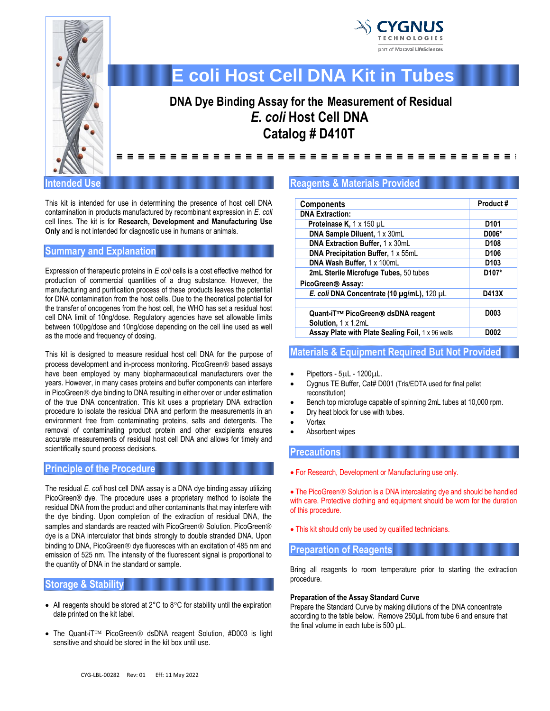



# **E coli Host Cell DNA Kit in Tubes**

# **DNA Dye Binding Assay for the Measurement of Residual** *E. coli* **Host Cell DNA Catalog # D410T**

==================================

**Intended Use** 

This kit is intended for use in determining the presence of host cell DNA contamination in products manufactured by recombinant expression in *E*. *coli* cell lines. The kit is for **Research, Development and Manufacturing Use Only** and is not intended for diagnostic use in humans or animals.

# **Summary and Explanation**

Expression of therapeutic proteins in *E coli* cells is a cost effective method for production of commercial quantities of a drug substance. However, the manufacturing and purification process of these products leaves the potential for DNA contamination from the host cells. Due to the theoretical potential for the transfer of oncogenes from the host cell, the WHO has set a residual host cell DNA limit of 10ng/dose. Regulatory agencies have set allowable limits between 100pg/dose and 10ng/dose depending on the cell line used as well as the mode and frequency of dosing.

This kit is designed to measure residual host cell DNA for the purpose of process development and in-process monitoring. PicoGreen<sup>®</sup> based assays have been employed by many biopharmaceutical manufacturers over the years. However, in many cases proteins and buffer components can interfere in PicoGreen<sup>®</sup> dye binding to DNA resulting in either over or under estimation of the true DNA concentration. This kit uses a proprietary DNA extraction procedure to isolate the residual DNA and perform the measurements in an environment free from contaminating proteins, salts and detergents. The removal of contaminating product protein and other excipients ensures accurate measurements of residual host cell DNA and allows for timely and scientifically sound process decisions.

# **Principle of the Procedure**

The residual *E. coli* host cell DNA assay is a DNA dye binding assay utilizing PicoGreen® dye. The procedure uses a proprietary method to isolate the residual DNA from the product and other contaminants that may interfere with the dye binding. Upon completion of the extraction of residual DNA, the samples and standards are reacted with PicoGreen® Solution. PicoGreen® dye is a DNA interculator that binds strongly to double stranded DNA. Upon binding to DNA, PicoGreen<sup>®</sup> dye fluoresces with an excitation of 485 nm and emission of 525 nm. The intensity of the fluorescent signal is proportional to the quantity of DNA in the standard or sample.

# **Storage & Stability**

- All reagents should be stored at  $2^{\circ}$ C to  $8^{\circ}$ C for stability until the expiration date printed on the kit label.
- The Quant-iT<sup>TM</sup> PicoGreen<sup>®</sup> dsDNA reagent Solution, #D003 is light sensitive and should be stored in the kit box until use.

#### **Reagents & Materials Provided**

| <b>Components</b>                                 | Product#           |
|---------------------------------------------------|--------------------|
| <b>DNA Extraction:</b>                            |                    |
| Proteinase K, 1 x 150 µL                          | D <sub>101</sub>   |
| DNA Sample Diluent, 1 x 30mL                      | D006*              |
| DNA Extraction Buffer, 1 x 30mL                   | D <sub>108</sub>   |
| DNA Precipitation Buffer, 1 x 55mL                | D <sub>106</sub>   |
| DNA Wash Buffer, 1 x 100mL                        | D <sub>103</sub>   |
| 2mL Sterile Microfuge Tubes, 50 tubes             | D <sub>107</sub> * |
| PicoGreen <sup>®</sup> Assay:                     |                    |
| E. coli DNA Concentrate (10 µg/mL), 120 µL        | D413X              |
|                                                   |                    |
| Quant-iT™ PicoGreen® dsDNA reagent                | D <sub>003</sub>   |
| Solution, 1 x 1.2mL                               |                    |
| Assay Plate with Plate Sealing Foil, 1 x 96 wells | D002               |

## **Materials & Equipment Required But Not Provided**

- Pipettors  $5\mu$ L  $1200\mu$ L.
- Cygnus TE Buffer, Cat# D001 (Tris/EDTA used for final pellet reconstitution)
- Bench top microfuge capable of spinning 2mL tubes at 10,000 rpm.
- Dry heat block for use with tubes.
- **Vortex**
- Absorbent wipes

#### **Precautions**

• For Research, Development or Manufacturing use only.

• The PicoGreen<sup>®</sup> Solution is a DNA intercalating dye and should be handled with care. Protective clothing and equipment should be worn for the duration of this procedure.

• This kit should only be used by qualified technicians.

### **Preparation of Reagents**

Bring all reagents to room temperature prior to starting the extraction procedure.

#### **Preparation of the Assay Standard Curve**

Prepare the Standard Curve by making dilutions of the DNA concentrate according to the table below. Remove 250µL from tube 6 and ensure that the final volume in each tube is 500 µL.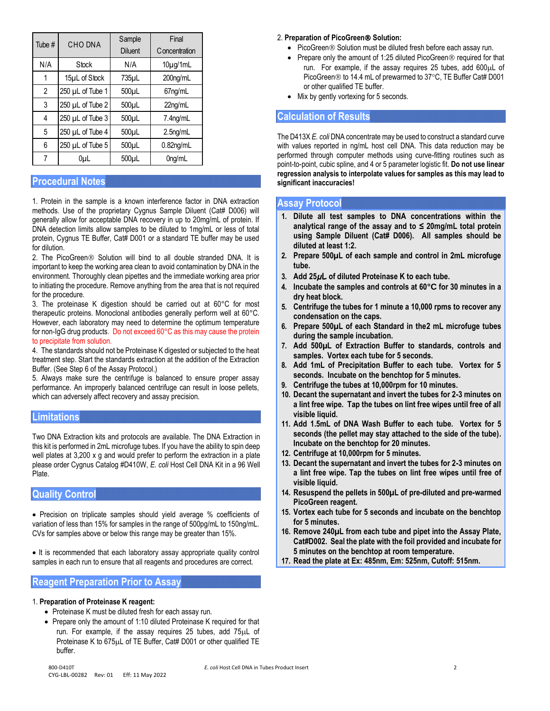| Tube # | <b>CHO DNA</b>   | Sample             | Final                |
|--------|------------------|--------------------|----------------------|
|        |                  | <b>Diluent</b>     | Concentration        |
| N/A    | Stock            | N/A                | $10\mu g/1mL$        |
| 1      | 15µL of Stock    | 735µL              | 200 <sub>ng/mL</sub> |
| 2      | 250 µL of Tube 1 | $500\mu L$         | 67ng/mL              |
| 3      | 250 µL of Tube 2 | $500\mu L$         | 22ng/mL              |
| 4      | 250 µL of Tube 3 | 500 <sub>µ</sub>   | 7.4ng/mL             |
| 5      | 250 µL of Tube 4 | $500\mu L$         | 2.5 <sub>ng/mL</sub> |
| 6      | 250 µL of Tube 5 | $500\mu L$         | $0.82$ ng/mL         |
| 7      | 0µL              | 500 <sub>u</sub> L | 0 <sub>ng</sub> /mL  |

# **Procedural Notes**

1. Protein in the sample is a known interference factor in DNA extraction methods. Use of the proprietary Cygnus Sample Diluent (Cat# D006) will generally allow for acceptable DNA recovery in up to 20mg/mL of protein. If DNA detection limits allow samples to be diluted to 1mg/mL or less of total protein, Cygnus TE Buffer, Cat# D001 or a standard TE buffer may be used for dilution.

2. The PicoGreen<sup>®</sup> Solution will bind to all double stranded DNA. It is important to keep the working area clean to avoid contamination by DNA in the environment. Thoroughly clean pipettes and the immediate working area prior to initiating the procedure. Remove anything from the area that is not required for the procedure.

3. The proteinase K digestion should be carried out at 60°C for most therapeutic proteins. Monoclonal antibodies generally perform well at 60°C. However, each laboratory may need to determine the optimum temperature for non-IgG drug products. Do not exceed 60°C as this may cause the protein to precipitate from solution.

4. The standards should not be Proteinase K digested or subjected to the heat treatment step. Start the standards extraction at the addition of the Extraction Buffer. (See Step 6 of the Assay Protocol.)

5. Always make sure the centrifuge is balanced to ensure proper assay performance. An improperly balanced centrifuge can result in loose pellets, which can adversely affect recovery and assay precision.

### **Limitations**

Two DNA Extraction kits and protocols are available. The DNA Extraction in this kit is performed in 2mL microfuge tubes. If you have the ability to spin deep well plates at 3,200 x g and would prefer to perform the extraction in a plate please order Cygnus Catalog #D410W, *E. coli* Host Cell DNA Kit in a 96 Well Plate.

### **Quality Control**

• Precision on triplicate samples should yield average % coefficients of variation of less than 15% for samples in the range of 500pg/mL to 150ng/mL. CVs for samples above or below this range may be greater than 15%.

• It is recommended that each laboratory assay appropriate quality control samples in each run to ensure that all reagents and procedures are correct.

### **Reagent Preparation Prior to Assay**

#### 1. **Preparation of Proteinase K reagent:**

- Proteinase K must be diluted fresh for each assay run.
- Prepare only the amount of 1:10 diluted Proteinase K required for that run. For example, if the assay requires 25 tubes, add 75µL of Proteinase K to 675µL of TE Buffer, Cat# D001 or other qualified TE buffer.

#### 2. **Preparation of PicoGreen Solution:**

- PicoGreen<sup>®</sup> Solution must be diluted fresh before each assay run.
- Prepare only the amount of 1:25 diluted PicoGreen $\circledR$  required for that run. For example, if the assay requires 25 tubes, add  $600\mu L$  of PicoGreen ® to 14.4 mL of prewarmed to 37°C, TE Buffer Cat# D001 or other qualified TE buffer.
- Mix by gently vortexing for 5 seconds.

#### **Calculation of Results**

The D413X *E. coli* DNA concentrate may be used to construct a standard curve with values reported in ng/mL host cell DNA. This data reduction may be performed through computer methods using curve-fitting routines such as point-to-point, cubic spline, and 4 or 5 parameter logistic fit. **Do not use linear regression analysis to interpolate values for samples as this may lead to significant inaccuracies!**

# **Assay Protocol**

- **1. Dilute all test samples to DNA concentrations within the analytical range of the assay and to ≤ 20mg/mL total protein using Sample Diluent (Cat# D006). All samples should be diluted at least 1:2.**
- **2. Prepare 500µL of each sample and control in 2mL microfuge tube.**
- **3. Add 25µL of diluted Proteinase K to each tube.**
- **4. Incubate the samples and controls at 60°C for 30 minutes in a dry heat block.**
- **5. Centrifuge the tubes for 1 minute a 10,000 rpms to recover any condensation on the caps.**
- **6. Prepare 500µL of each Standard in the2 mL microfuge tubes during the sample incubation.**
- **7. Add 500µL of Extraction Buffer to standards, controls and samples. Vortex each tube for 5 seconds.**
- **8. Add 1mL of Precipitation Buffer to each tube. Vortex for 5 seconds. Incubate on the benchtop for 5 minutes.**
- **9. Centrifuge the tubes at 10,000rpm for 10 minutes.**
- **10. Decant the supernatant and invert the tubes for 2-3 minutes on a lint free wipe. Tap the tubes on lint free wipes until free of all visible liquid.**
- **11. Add 1.5mL of DNA Wash Buffer to each tube. Vortex for 5 seconds (the pellet may stay attached to the side of the tube). Incubate on the benchtop for 20 minutes.**
- **12. Centrifuge at 10,000rpm for 5 minutes.**
- **13. Decant the supernatant and invert the tubes for 2-3 minutes on a lint free wipe. Tap the tubes on lint free wipes until free of visible liquid.**
- **14. Resuspend the pellets in 500µL of pre-diluted and pre-warmed PicoGreen reagent.**
- **15. Vortex each tube for 5 seconds and incubate on the benchtop for 5 minutes.**
- **16. Remove 240µL from each tube and pipet into the Assay Plate, Cat#D002. Seal the plate with the foil provided and incubate for 5 minutes on the benchtop at room temperature.**
- **17. Read the plate at Ex: 485nm, Em: 525nm, Cutoff: 515nm.**